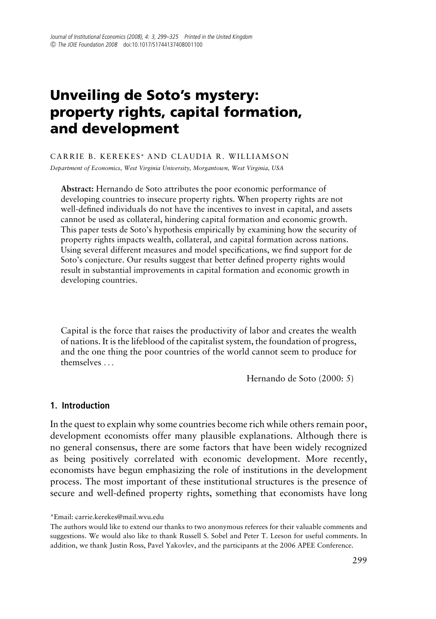# Unveiling de Soto's mystery: property rights, capital formation, and development

CARRIE B. KEREKES <sup>∗</sup> AND CLAUDIA R. WILLIAMSON

*Department of Economics, West Virginia University, Morgantown, West Virginia, USA*

**Abstract:** Hernando de Soto attributes the poor economic performance of developing countries to insecure property rights. When property rights are not well-defined individuals do not have the incentives to invest in capital, and assets cannot be used as collateral, hindering capital formation and economic growth. This paper tests de Soto's hypothesis empirically by examining how the security of property rights impacts wealth, collateral, and capital formation across nations. Using several different measures and model specifications, we find support for de Soto's conjecture. Our results suggest that better defined property rights would result in substantial improvements in capital formation and economic growth in developing countries.

Capital is the force that raises the productivity of labor and creates the wealth of nations. It is the lifeblood of the capitalist system, the foundation of progress, and the one thing the poor countries of the world cannot seem to produce for themselves *...*

Hernando de Soto (2000: 5)

#### **1. Introduction**

In the quest to explain why some countries become rich while others remain poor, development economists offer many plausible explanations. Although there is no general consensus, there are some factors that have been widely recognized as being positively correlated with economic development. More recently, economists have begun emphasizing the role of institutions in the development process. The most important of these institutional structures is the presence of secure and well-defined property rights, something that economists have long

∗Email: carrie.kerekes@mail.wvu.edu

The authors would like to extend our thanks to two anonymous referees for their valuable comments and suggestions. We would also like to thank Russell S. Sobel and Peter T. Leeson for useful comments. In addition, we thank Justin Ross, Pavel Yakovlev, and the participants at the 2006 APEE Conference.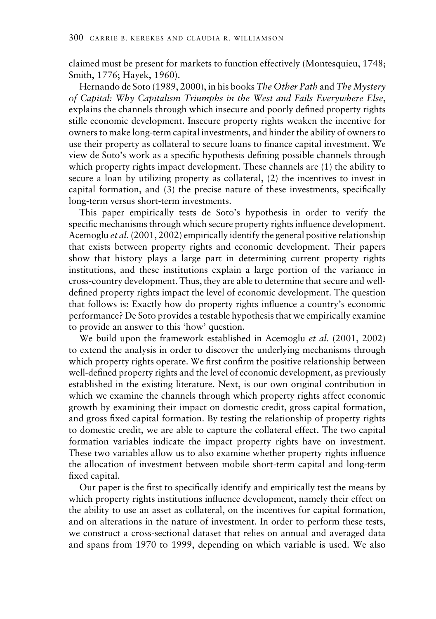claimed must be present for markets to function effectively (Montesquieu, 1748; Smith, 1776; Hayek, 1960).

Hernando de Soto (1989, 2000), in his books *The Other Path* and *The Mystery of Capital: Why Capitalism Triumphs in the West and Fails Everywhere Else*, explains the channels through which insecure and poorly defined property rights stifle economic development. Insecure property rights weaken the incentive for owners to make long-term capital investments, and hinder the ability of owners to use their property as collateral to secure loans to finance capital investment. We view de Soto's work as a specific hypothesis defining possible channels through which property rights impact development. These channels are (1) the ability to secure a loan by utilizing property as collateral, (2) the incentives to invest in capital formation, and (3) the precise nature of these investments, specifically long-term versus short-term investments.

This paper empirically tests de Soto's hypothesis in order to verify the specific mechanisms through which secure property rights influence development. Acemoglu *et al.* (2001, 2002) empirically identify the general positive relationship that exists between property rights and economic development. Their papers show that history plays a large part in determining current property rights institutions, and these institutions explain a large portion of the variance in cross-country development. Thus, they are able to determine that secure and welldefined property rights impact the level of economic development. The question that follows is: Exactly how do property rights influence a country's economic performance? De Soto provides a testable hypothesis that we empirically examine to provide an answer to this 'how' question.

We build upon the framework established in Acemoglu *et al.* (2001, 2002) to extend the analysis in order to discover the underlying mechanisms through which property rights operate. We first confirm the positive relationship between well-defined property rights and the level of economic development, as previously established in the existing literature. Next, is our own original contribution in which we examine the channels through which property rights affect economic growth by examining their impact on domestic credit, gross capital formation, and gross fixed capital formation. By testing the relationship of property rights to domestic credit, we are able to capture the collateral effect. The two capital formation variables indicate the impact property rights have on investment. These two variables allow us to also examine whether property rights influence the allocation of investment between mobile short-term capital and long-term fixed capital.

Our paper is the first to specifically identify and empirically test the means by which property rights institutions influence development, namely their effect on the ability to use an asset as collateral, on the incentives for capital formation, and on alterations in the nature of investment. In order to perform these tests, we construct a cross-sectional dataset that relies on annual and averaged data and spans from 1970 to 1999, depending on which variable is used. We also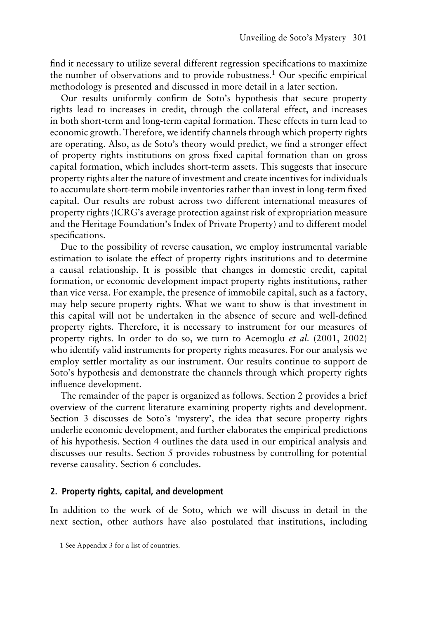find it necessary to utilize several different regression specifications to maximize the number of observations and to provide robustness.<sup>1</sup> Our specific empirical methodology is presented and discussed in more detail in a later section.

Our results uniformly confirm de Soto's hypothesis that secure property rights lead to increases in credit, through the collateral effect, and increases in both short-term and long-term capital formation. These effects in turn lead to economic growth. Therefore, we identify channels through which property rights are operating. Also, as de Soto's theory would predict, we find a stronger effect of property rights institutions on gross fixed capital formation than on gross capital formation, which includes short-term assets. This suggests that insecure property rights alter the nature of investment and create incentives for individuals to accumulate short-term mobile inventories rather than invest in long-term fixed capital. Our results are robust across two different international measures of property rights (ICRG's average protection against risk of expropriation measure and the Heritage Foundation's Index of Private Property) and to different model specifications.

Due to the possibility of reverse causation, we employ instrumental variable estimation to isolate the effect of property rights institutions and to determine a causal relationship. It is possible that changes in domestic credit, capital formation, or economic development impact property rights institutions, rather than vice versa. For example, the presence of immobile capital, such as a factory, may help secure property rights. What we want to show is that investment in this capital will not be undertaken in the absence of secure and well-defined property rights. Therefore, it is necessary to instrument for our measures of property rights. In order to do so, we turn to Acemoglu *et al.* (2001, 2002) who identify valid instruments for property rights measures. For our analysis we employ settler mortality as our instrument. Our results continue to support de Soto's hypothesis and demonstrate the channels through which property rights influence development.

The remainder of the paper is organized as follows. Section 2 provides a brief overview of the current literature examining property rights and development. Section 3 discusses de Soto's 'mystery', the idea that secure property rights underlie economic development, and further elaborates the empirical predictions of his hypothesis. Section 4 outlines the data used in our empirical analysis and discusses our results. Section 5 provides robustness by controlling for potential reverse causality. Section 6 concludes.

#### **2. Property rights, capital, and development**

In addition to the work of de Soto, which we will discuss in detail in the next section, other authors have also postulated that institutions, including

<sup>1</sup> See Appendix 3 for a list of countries.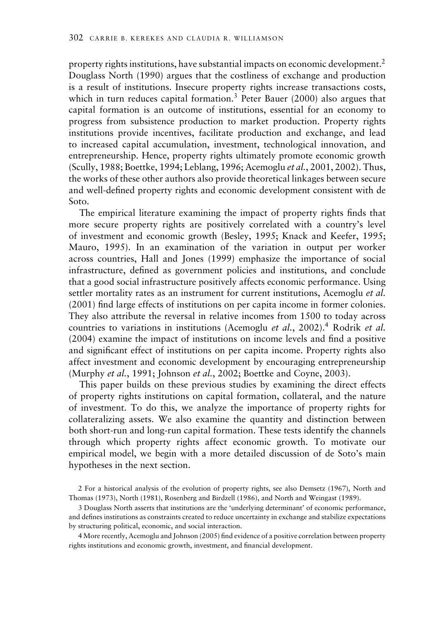property rights institutions, have substantial impacts on economic development.2 Douglass North (1990) argues that the costliness of exchange and production is a result of institutions. Insecure property rights increase transactions costs, which in turn reduces capital formation.<sup>3</sup> Peter Bauer (2000) also argues that capital formation is an outcome of institutions, essential for an economy to progress from subsistence production to market production. Property rights institutions provide incentives, facilitate production and exchange, and lead to increased capital accumulation, investment, technological innovation, and entrepreneurship. Hence, property rights ultimately promote economic growth (Scully, 1988; Boettke, 1994; Leblang, 1996; Acemoglu *et al.*, 2001, 2002). Thus, the works of these other authors also provide theoretical linkages between secure and well-defined property rights and economic development consistent with de Soto.

The empirical literature examining the impact of property rights finds that more secure property rights are positively correlated with a country's level of investment and economic growth (Besley, 1995; Knack and Keefer, 1995; Mauro, 1995). In an examination of the variation in output per worker across countries, Hall and Jones (1999) emphasize the importance of social infrastructure, defined as government policies and institutions, and conclude that a good social infrastructure positively affects economic performance. Using settler mortality rates as an instrument for current institutions, Acemoglu *et al.* (2001) find large effects of institutions on per capita income in former colonies. They also attribute the reversal in relative incomes from 1500 to today across countries to variations in institutions (Acemoglu *et al.*, 2002).<sup>4</sup> Rodrik *et al.* (2004) examine the impact of institutions on income levels and find a positive and significant effect of institutions on per capita income. Property rights also affect investment and economic development by encouraging entrepreneurship (Murphy *et al.*, 1991; Johnson *et al.*, 2002; Boettke and Coyne, 2003).

This paper builds on these previous studies by examining the direct effects of property rights institutions on capital formation, collateral, and the nature of investment. To do this, we analyze the importance of property rights for collateralizing assets. We also examine the quantity and distinction between both short-run and long-run capital formation. These tests identify the channels through which property rights affect economic growth. To motivate our empirical model, we begin with a more detailed discussion of de Soto's main hypotheses in the next section.

3 Douglass North asserts that institutions are the 'underlying determinant' of economic performance, and defines institutions as constraints created to reduce uncertainty in exchange and stabilize expectations by structuring political, economic, and social interaction.

4 More recently, Acemoglu and Johnson (2005) find evidence of a positive correlation between property rights institutions and economic growth, investment, and financial development.

<sup>2</sup> For a historical analysis of the evolution of property rights, see also Demsetz (1967), North and Thomas (1973), North (1981), Rosenberg and Birdzell (1986), and North and Weingast (1989).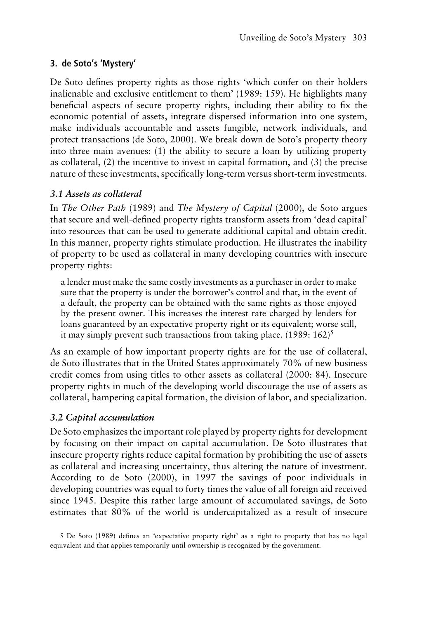### **3. de Soto's 'Mystery'**

De Soto defines property rights as those rights 'which confer on their holders inalienable and exclusive entitlement to them' (1989: 159). He highlights many beneficial aspects of secure property rights, including their ability to fix the economic potential of assets, integrate dispersed information into one system, make individuals accountable and assets fungible, network individuals, and protect transactions (de Soto, 2000). We break down de Soto's property theory into three main avenues: (1) the ability to secure a loan by utilizing property as collateral, (2) the incentive to invest in capital formation, and (3) the precise nature of these investments, specifically long-term versus short-term investments.

### *3.1 Assets as collateral*

In *The Other Path* (1989) and *The Mystery of Capital* (2000), de Soto argues that secure and well-defined property rights transform assets from 'dead capital' into resources that can be used to generate additional capital and obtain credit. In this manner, property rights stimulate production. He illustrates the inability of property to be used as collateral in many developing countries with insecure property rights:

a lender must make the same costly investments as a purchaser in order to make sure that the property is under the borrower's control and that, in the event of a default, the property can be obtained with the same rights as those enjoyed by the present owner. This increases the interest rate charged by lenders for loans guaranteed by an expectative property right or its equivalent; worse still, it may simply prevent such transactions from taking place.  $(1989: 162)^5$ 

As an example of how important property rights are for the use of collateral, de Soto illustrates that in the United States approximately 70% of new business credit comes from using titles to other assets as collateral (2000: 84). Insecure property rights in much of the developing world discourage the use of assets as collateral, hampering capital formation, the division of labor, and specialization.

### *3.2 Capital accumulation*

De Soto emphasizes the important role played by property rights for development by focusing on their impact on capital accumulation. De Soto illustrates that insecure property rights reduce capital formation by prohibiting the use of assets as collateral and increasing uncertainty, thus altering the nature of investment. According to de Soto (2000), in 1997 the savings of poor individuals in developing countries was equal to forty times the value of all foreign aid received since 1945. Despite this rather large amount of accumulated savings, de Soto estimates that 80% of the world is undercapitalized as a result of insecure

5 De Soto (1989) defines an 'expectative property right' as a right to property that has no legal equivalent and that applies temporarily until ownership is recognized by the government.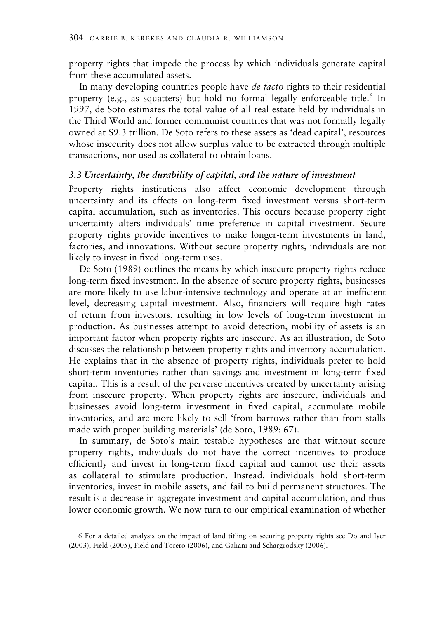property rights that impede the process by which individuals generate capital from these accumulated assets.

In many developing countries people have *de facto* rights to their residential property (e.g., as squatters) but hold no formal legally enforceable title.<sup>6</sup> In 1997, de Soto estimates the total value of all real estate held by individuals in the Third World and former communist countries that was not formally legally owned at \$9.3 trillion. De Soto refers to these assets as 'dead capital', resources whose insecurity does not allow surplus value to be extracted through multiple transactions, nor used as collateral to obtain loans.

#### *3.3 Uncertainty, the durability of capital, and the nature of investment*

Property rights institutions also affect economic development through uncertainty and its effects on long-term fixed investment versus short-term capital accumulation, such as inventories. This occurs because property right uncertainty alters individuals' time preference in capital investment. Secure property rights provide incentives to make longer-term investments in land, factories, and innovations. Without secure property rights, individuals are not likely to invest in fixed long-term uses.

De Soto (1989) outlines the means by which insecure property rights reduce long-term fixed investment. In the absence of secure property rights, businesses are more likely to use labor-intensive technology and operate at an inefficient level, decreasing capital investment. Also, financiers will require high rates of return from investors, resulting in low levels of long-term investment in production. As businesses attempt to avoid detection, mobility of assets is an important factor when property rights are insecure. As an illustration, de Soto discusses the relationship between property rights and inventory accumulation. He explains that in the absence of property rights, individuals prefer to hold short-term inventories rather than savings and investment in long-term fixed capital. This is a result of the perverse incentives created by uncertainty arising from insecure property. When property rights are insecure, individuals and businesses avoid long-term investment in fixed capital, accumulate mobile inventories, and are more likely to sell 'from barrows rather than from stalls made with proper building materials' (de Soto, 1989: 67).

In summary, de Soto's main testable hypotheses are that without secure property rights, individuals do not have the correct incentives to produce efficiently and invest in long-term fixed capital and cannot use their assets as collateral to stimulate production. Instead, individuals hold short-term inventories, invest in mobile assets, and fail to build permanent structures. The result is a decrease in aggregate investment and capital accumulation, and thus lower economic growth. We now turn to our empirical examination of whether

<sup>6</sup> For a detailed analysis on the impact of land titling on securing property rights see Do and Iyer (2003), Field (2005), Field and Torero (2006), and Galiani and Schargrodsky (2006).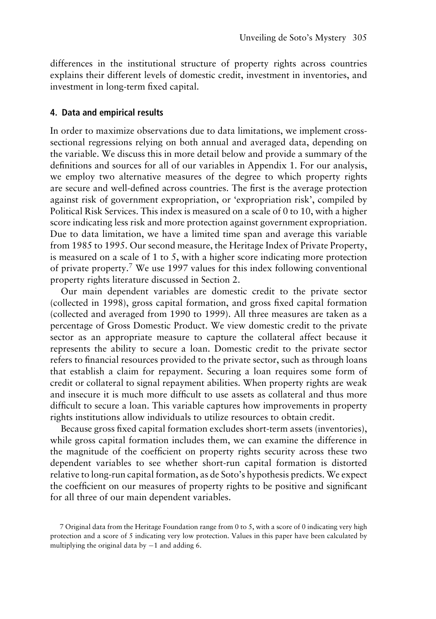differences in the institutional structure of property rights across countries explains their different levels of domestic credit, investment in inventories, and investment in long-term fixed capital.

#### **4. Data and empirical results**

In order to maximize observations due to data limitations, we implement crosssectional regressions relying on both annual and averaged data, depending on the variable. We discuss this in more detail below and provide a summary of the definitions and sources for all of our variables in Appendix 1. For our analysis, we employ two alternative measures of the degree to which property rights are secure and well-defined across countries. The first is the average protection against risk of government expropriation, or 'expropriation risk', compiled by Political Risk Services. This index is measured on a scale of 0 to 10, with a higher score indicating less risk and more protection against government expropriation. Due to data limitation, we have a limited time span and average this variable from 1985 to 1995. Our second measure, the Heritage Index of Private Property, is measured on a scale of 1 to 5, with a higher score indicating more protection of private property.7 We use 1997 values for this index following conventional property rights literature discussed in Section 2.

Our main dependent variables are domestic credit to the private sector (collected in 1998), gross capital formation, and gross fixed capital formation (collected and averaged from 1990 to 1999). All three measures are taken as a percentage of Gross Domestic Product. We view domestic credit to the private sector as an appropriate measure to capture the collateral affect because it represents the ability to secure a loan. Domestic credit to the private sector refers to financial resources provided to the private sector, such as through loans that establish a claim for repayment. Securing a loan requires some form of credit or collateral to signal repayment abilities. When property rights are weak and insecure it is much more difficult to use assets as collateral and thus more difficult to secure a loan. This variable captures how improvements in property rights institutions allow individuals to utilize resources to obtain credit.

Because gross fixed capital formation excludes short-term assets (inventories), while gross capital formation includes them, we can examine the difference in the magnitude of the coefficient on property rights security across these two dependent variables to see whether short-run capital formation is distorted relative to long-run capital formation, as de Soto's hypothesis predicts. We expect the coefficient on our measures of property rights to be positive and significant for all three of our main dependent variables.

<sup>7</sup> Original data from the Heritage Foundation range from 0 to 5, with a score of 0 indicating very high protection and a score of 5 indicating very low protection. Values in this paper have been calculated by multiplying the original data by  $-1$  and adding 6.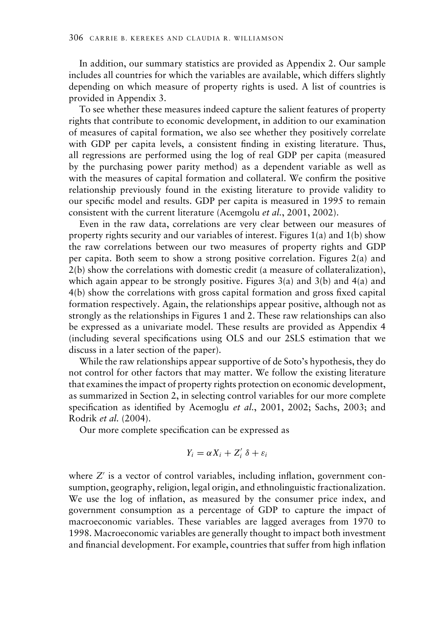In addition, our summary statistics are provided as Appendix 2. Our sample includes all countries for which the variables are available, which differs slightly depending on which measure of property rights is used. A list of countries is provided in Appendix 3.

To see whether these measures indeed capture the salient features of property rights that contribute to economic development, in addition to our examination of measures of capital formation, we also see whether they positively correlate with GDP per capita levels, a consistent finding in existing literature. Thus, all regressions are performed using the log of real GDP per capita (measured by the purchasing power parity method) as a dependent variable as well as with the measures of capital formation and collateral. We confirm the positive relationship previously found in the existing literature to provide validity to our specific model and results. GDP per capita is measured in 1995 to remain consistent with the current literature (Acemgolu *et al.*, 2001, 2002).

Even in the raw data, correlations are very clear between our measures of property rights security and our variables of interest. Figures 1(a) and 1(b) show the raw correlations between our two measures of property rights and GDP per capita. Both seem to show a strong positive correlation. Figures 2(a) and 2(b) show the correlations with domestic credit (a measure of collateralization), which again appear to be strongly positive. Figures 3(a) and 3(b) and 4(a) and 4(b) show the correlations with gross capital formation and gross fixed capital formation respectively. Again, the relationships appear positive, although not as strongly as the relationships in Figures 1 and 2. These raw relationships can also be expressed as a univariate model. These results are provided as Appendix 4 (including several specifications using OLS and our 2SLS estimation that we discuss in a later section of the paper).

While the raw relationships appear supportive of de Soto's hypothesis, they do not control for other factors that may matter. We follow the existing literature that examines the impact of property rights protection on economic development, as summarized in Section 2, in selecting control variables for our more complete specification as identified by Acemoglu *et al.*, 2001, 2002; Sachs, 2003; and Rodrik *et al.* (2004).

Our more complete specification can be expressed as

$$
Y_i = \alpha X_i + Z'_i \delta + \varepsilon_i
$$

where *Z'* is a vector of control variables, including inflation, government consumption, geography, religion, legal origin, and ethnolinguistic fractionalization. We use the log of inflation, as measured by the consumer price index, and government consumption as a percentage of GDP to capture the impact of macroeconomic variables. These variables are lagged averages from 1970 to 1998. Macroeconomic variables are generally thought to impact both investment and financial development. For example, countries that suffer from high inflation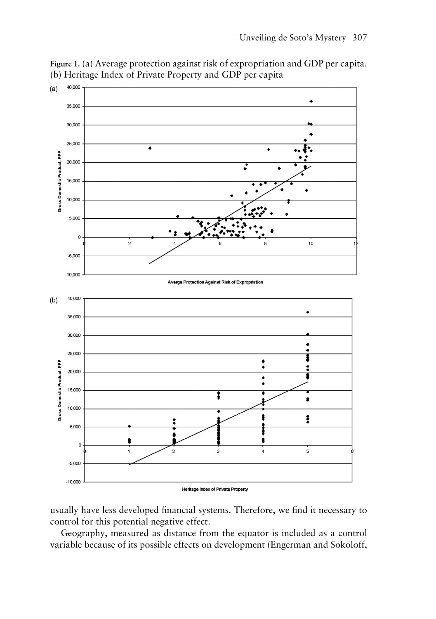

**Figure 1.** (a) Average protection against risk of expropriation and GDP per capita. (b) Heritage Index of Private Property and GDP per capita

usually have less developed financial systems. Therefore, we find it necessary to control for this potential negative effect.

Geography, measured as distance from the equator is included as a control variable because of its possible effects on development (Engerman and Sokoloff,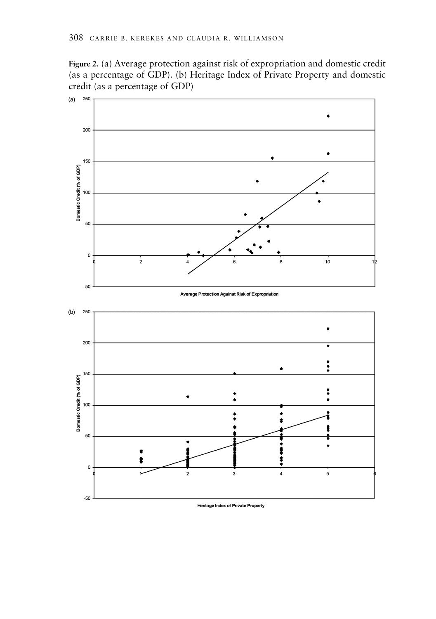**Figure 2.** (a) Average protection against risk of expropriation and domestic credit (as a percentage of GDP). (b) Heritage Index of Private Property and domestic credit (as a percentage of GDP)



Heritage Index of Private Property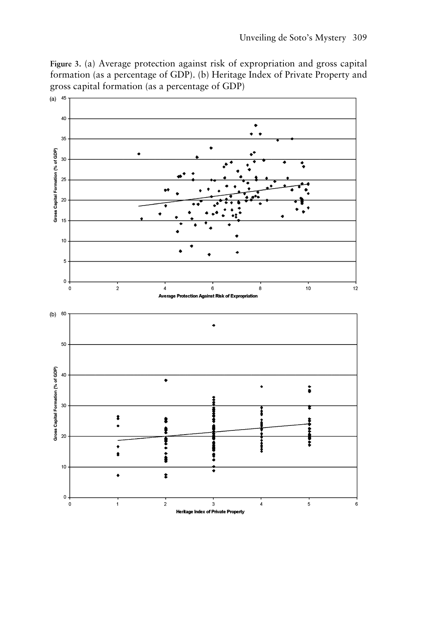**Figure 3.** (a) Average protection against risk of expropriation and gross capital formation (as a percentage of GDP). (b) Heritage Index of Private Property and gross capital formation (as a percentage of GDP)

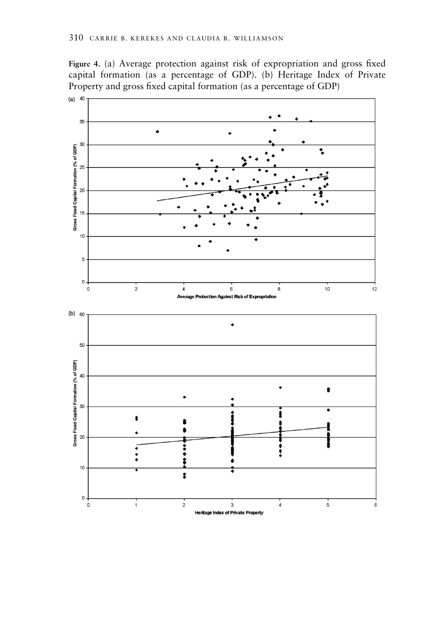**Figure 4.** (a) Average protection against risk of expropriation and gross fixed capital formation (as a percentage of GDP). (b) Heritage Index of Private Property and gross fixed capital formation (as a percentage of GDP)

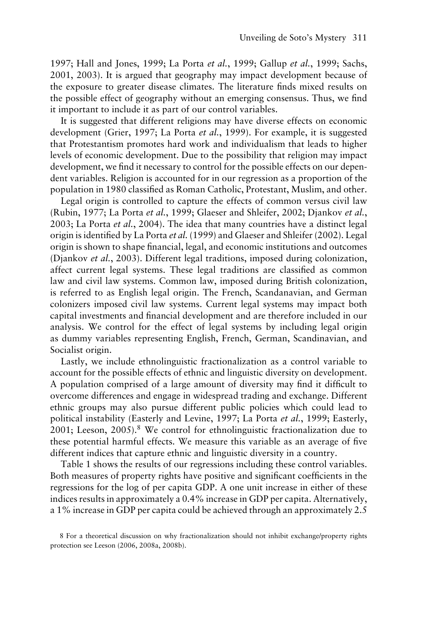1997; Hall and Jones, 1999; La Porta *et al.*, 1999; Gallup *et al.*, 1999; Sachs, 2001, 2003). It is argued that geography may impact development because of the exposure to greater disease climates. The literature finds mixed results on the possible effect of geography without an emerging consensus. Thus, we find it important to include it as part of our control variables.

It is suggested that different religions may have diverse effects on economic development (Grier, 1997; La Porta *et al.*, 1999). For example, it is suggested that Protestantism promotes hard work and individualism that leads to higher levels of economic development. Due to the possibility that religion may impact development, we find it necessary to control for the possible effects on our dependent variables. Religion is accounted for in our regression as a proportion of the population in 1980 classified as Roman Catholic, Protestant, Muslim, and other.

Legal origin is controlled to capture the effects of common versus civil law (Rubin, 1977; La Porta *et al.*, 1999; Glaeser and Shleifer, 2002; Djankov *et al.*, 2003; La Porta *et al.*, 2004). The idea that many countries have a distinct legal origin is identified by La Porta *et al.* (1999) and Glaeser and Shleifer (2002). Legal origin is shown to shape financial, legal, and economic institutions and outcomes (Djankov *et al.*, 2003). Different legal traditions, imposed during colonization, affect current legal systems. These legal traditions are classified as common law and civil law systems. Common law, imposed during British colonization, is referred to as English legal origin. The French, Scandanavian, and German colonizers imposed civil law systems. Current legal systems may impact both capital investments and financial development and are therefore included in our analysis. We control for the effect of legal systems by including legal origin as dummy variables representing English, French, German, Scandinavian, and Socialist origin.

Lastly, we include ethnolinguistic fractionalization as a control variable to account for the possible effects of ethnic and linguistic diversity on development. A population comprised of a large amount of diversity may find it difficult to overcome differences and engage in widespread trading and exchange. Different ethnic groups may also pursue different public policies which could lead to political instability (Easterly and Levine, 1997; La Porta *et al.*, 1999; Easterly, 2001; Leeson, 2005).<sup>8</sup> We control for ethnolinguistic fractionalization due to these potential harmful effects. We measure this variable as an average of five different indices that capture ethnic and linguistic diversity in a country.

Table 1 shows the results of our regressions including these control variables. Both measures of property rights have positive and significant coefficients in the regressions for the log of per capita GDP. A one unit increase in either of these indices results in approximately a 0.4% increase in GDP per capita. Alternatively, a 1% increase in GDP per capita could be achieved through an approximately 2.5

<sup>8</sup> For a theoretical discussion on why fractionalization should not inhibit exchange/property rights protection see Leeson (2006, 2008a, 2008b).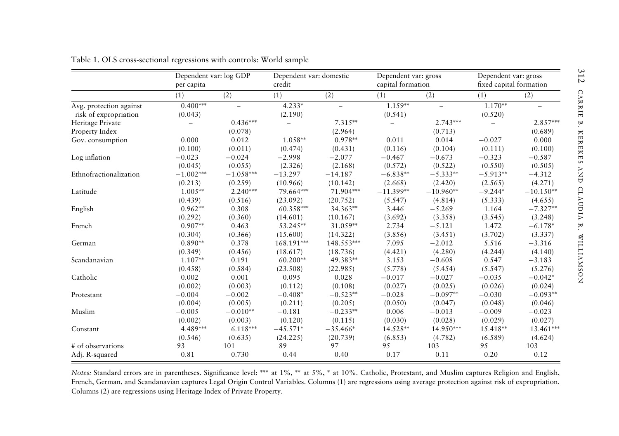|                                                  | Dependent var: log GDP<br>per capita |             | Dependent var: domestic<br>credit |               | Dependent var: gross<br>capital formation |             | Dependent var: gross<br>fixed capital formation |             |
|--------------------------------------------------|--------------------------------------|-------------|-----------------------------------|---------------|-------------------------------------------|-------------|-------------------------------------------------|-------------|
|                                                  | (1)                                  | (2)         | (1)                               | (2)           | (1)                                       | (2)         | (1)                                             | (2)         |
| Avg. protection against<br>risk of expropriation | $0.400***$<br>(0.043)                | $\equiv$    | $4.233*$<br>(2.190)               | $\rightarrow$ | $1.159**$<br>(0.541)                      | $\equiv$    | $1.170**$<br>(0.520)                            |             |
| Heritage Private                                 |                                      | $0.436***$  |                                   | $7.315**$     |                                           | $2.743***$  |                                                 | $2.857***$  |
| Property Index                                   |                                      | (0.078)     |                                   | (2.964)       |                                           | (0.713)     |                                                 | (0.689)     |
| Gov. consumption                                 | 0.000                                | 0.012       | 1.058**                           | $0.978**$     | 0.011                                     | 0.014       | $-0.027$                                        | 0.000       |
|                                                  | (0.100)                              | (0.011)     | (0.474)                           | (0.431)       | (0.116)                                   | (0.104)     | (0.111)                                         | (0.100)     |
| Log inflation                                    | $-0.023$                             | $-0.024$    | $-2.998$                          | $-2.077$      | $-0.467$                                  | $-0.673$    | $-0.323$                                        | $-0.587$    |
|                                                  | (0.045)                              | (0.055)     | (2.326)                           | (2.168)       | (0.572)                                   | (0.522)     | (0.550)                                         | (0.505)     |
| Ethnofractionalization                           | $-1.002***$                          | $-1.058***$ | $-13.297$                         | $-14.187$     | $-6.838**$                                | $-5.333**$  | $-5.913**$                                      | $-4.312$    |
|                                                  | (0.213)                              | (0.259)     | (10.966)                          | (10.142)      | (2.668)                                   | (2.420)     | (2.565)                                         | (4.271)     |
| Latitude                                         | $1.005**$                            | $2.240***$  | 79.664***                         | 71.904***     | $-11.399**$                               | $-10.960**$ | $-9.244*$                                       | $-10.150**$ |
|                                                  | (0.439)                              | (0.516)     | (23.092)                          | (20.752)      | (5.547)                                   | (4.814)     | (5.333)                                         | (4.655)     |
| English                                          | $0.962**$                            | 0.308       | $60.358***$                       | 34.363**      | 3.446                                     | $-5.269$    | 1.164                                           | $-7.327**$  |
|                                                  | (0.292)                              | (0.360)     | (14.601)                          | (10.167)      | (3.692)                                   | (3.358)     | (3.545)                                         | (3.248)     |
| French                                           | $0.907**$                            | 0.463       | 53.245**                          | 31.059**      | 2.734                                     | $-5.121$    | 1.472                                           | $-6.178*$   |
|                                                  | (0.304)                              | (0.366)     | (15.600)                          | (14.322)      | (3.856)                                   | (3.451)     | (3.702)                                         | (3.337)     |
| German                                           | $0.890**$                            | 0.378       | 168.191***                        | 148.553***    | 7.095                                     | $-2.012$    | 5.516                                           | $-3.316$    |
|                                                  | (0.349)                              | (0.456)     | (18.617)                          | (18.736)      | (4.421)                                   | (4.280)     | (4.244)                                         | (4.140)     |
| Scandanavian                                     | $1.107**$                            | 0.191       | $60.200**$                        | 49.383**      | 3.153                                     | $-0.608$    | 0.547                                           | $-3.183$    |
|                                                  | (0.458)                              | (0.584)     | (23.508)                          | (22.985)      | (5.778)                                   | (5.454)     | (5.547)                                         | (5.276)     |
| Catholic                                         | 0.002                                | 0.001       | 0.095                             | 0.028         | $-0.017$                                  | $-0.027$    | $-0.035$                                        | $-0.042*$   |
|                                                  | (0.002)                              | (0.003)     | (0.112)                           | (0.108)       | (0.027)                                   | (0.025)     | (0.026)                                         | (0.024)     |
| Protestant                                       | $-0.004$                             | $-0.002$    | $-0.408*$                         | $-0.523**$    | $-0.028$                                  | $-0.097**$  | $-0.030$                                        | $-0.093**$  |
|                                                  | (0.004)                              | (0.005)     | (0.211)                           | (0.205)       | (0.050)                                   | (0.047)     | (0.048)                                         | (0.046)     |
| Muslim                                           | $-0.005$                             | $-0.010**$  | $-0.181$                          | $-0.233**$    | 0.006                                     | $-0.013$    | $-0.009$                                        | $-0.023$    |
|                                                  | (0.002)                              | (0.003)     | (0.120)                           | (0.115)       | (0.030)                                   | (0.028)     | (0.029)                                         | (0.027)     |
| Constant                                         | $4.489***$                           | $6.118***$  | $-45.571*$                        | $-35.466*$    | 14.528**                                  | 14.950***   | 15.418**                                        | 13.461***   |
|                                                  | (0.546)                              | (0.635)     | (24.225)                          | (20.739)      | (6.853)                                   | (4.782)     | (6.589)                                         | (4.624)     |
| # of observations                                | 93                                   | 101         | 89                                | 97            | 95                                        | 103         | 95                                              | 103         |
| Adj. R-squared                                   | 0.81                                 | 0.730       | 0.44                              | 0.40          | 0.17                                      | 0.11        | 0.20                                            | 0.12        |

Table 1. OLS cross-sectional regressions with controls: World sample

*Notes:* Standard errors are in parentheses. Significance level: ∗∗∗ at 1%, ∗∗ at 5%, <sup>∗</sup> at 10%. Catholic, Protestant, and Muslim captures Religion and English, French, German, and Scandanavian captures Legal Origin Control Variables. Columns (1) are regressions using average protection against risk of expropriation. Columns (2) are regressions using Heritage Index of Private Property.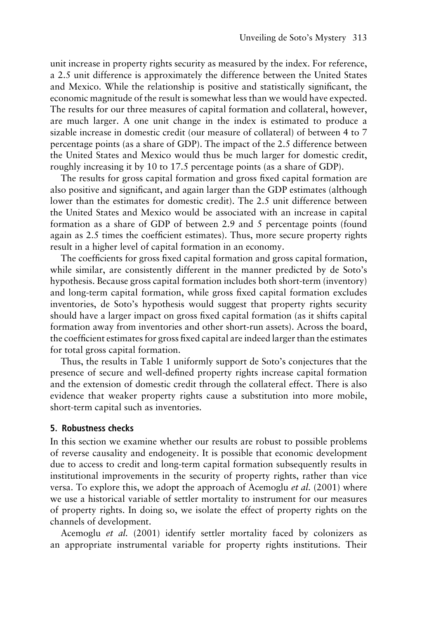unit increase in property rights security as measured by the index. For reference, a 2.5 unit difference is approximately the difference between the United States and Mexico. While the relationship is positive and statistically significant, the economic magnitude of the result is somewhat less than we would have expected. The results for our three measures of capital formation and collateral, however, are much larger. A one unit change in the index is estimated to produce a sizable increase in domestic credit (our measure of collateral) of between 4 to 7 percentage points (as a share of GDP). The impact of the 2.5 difference between the United States and Mexico would thus be much larger for domestic credit, roughly increasing it by 10 to 17.5 percentage points (as a share of GDP).

The results for gross capital formation and gross fixed capital formation are also positive and significant, and again larger than the GDP estimates (although lower than the estimates for domestic credit). The 2.5 unit difference between the United States and Mexico would be associated with an increase in capital formation as a share of GDP of between 2.9 and 5 percentage points (found again as 2.5 times the coefficient estimates). Thus, more secure property rights result in a higher level of capital formation in an economy.

The coefficients for gross fixed capital formation and gross capital formation, while similar, are consistently different in the manner predicted by de Soto's hypothesis. Because gross capital formation includes both short-term (inventory) and long-term capital formation, while gross fixed capital formation excludes inventories, de Soto's hypothesis would suggest that property rights security should have a larger impact on gross fixed capital formation (as it shifts capital formation away from inventories and other short-run assets). Across the board, the coefficient estimates for gross fixed capital are indeed larger than the estimates for total gross capital formation.

Thus, the results in Table 1 uniformly support de Soto's conjectures that the presence of secure and well-defined property rights increase capital formation and the extension of domestic credit through the collateral effect. There is also evidence that weaker property rights cause a substitution into more mobile, short-term capital such as inventories.

#### **5. Robustness checks**

In this section we examine whether our results are robust to possible problems of reverse causality and endogeneity. It is possible that economic development due to access to credit and long-term capital formation subsequently results in institutional improvements in the security of property rights, rather than vice versa. To explore this, we adopt the approach of Acemoglu *et al.* (2001) where we use a historical variable of settler mortality to instrument for our measures of property rights. In doing so, we isolate the effect of property rights on the channels of development.

Acemoglu *et al.* (2001) identify settler mortality faced by colonizers as an appropriate instrumental variable for property rights institutions. Their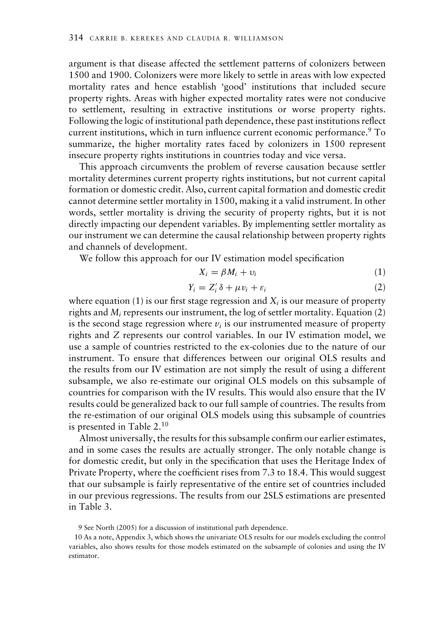argument is that disease affected the settlement patterns of colonizers between 1500 and 1900. Colonizers were more likely to settle in areas with low expected mortality rates and hence establish 'good' institutions that included secure property rights. Areas with higher expected mortality rates were not conducive to settlement, resulting in extractive institutions or worse property rights. Following the logic of institutional path dependence, these past institutions reflect current institutions, which in turn influence current economic performance.<sup>9</sup> To summarize, the higher mortality rates faced by colonizers in 1500 represent insecure property rights institutions in countries today and vice versa.

This approach circumvents the problem of reverse causation because settler mortality determines current property rights institutions, but not current capital formation or domestic credit. Also, current capital formation and domestic credit cannot determine settler mortality in 1500, making it a valid instrument. In other words, settler mortality is driving the security of property rights, but it is not directly impacting our dependent variables. By implementing settler mortality as our instrument we can determine the causal relationship between property rights and channels of development.

We follow this approach for our IV estimation model specification

$$
X_i = \beta M_i + \upsilon_i \tag{1}
$$

$$
Y_i = Z_i' \delta + \mu v_i + \varepsilon_i \tag{2}
$$

where equation (1) is our first stage regression and  $X_i$  is our measure of property rights and *Mi* represents our instrument, the log of settler mortality. Equation (2) is the second stage regression where  $v_i$  is our instrumented measure of property rights and *Z* represents our control variables. In our IV estimation model, we use a sample of countries restricted to the ex-colonies due to the nature of our instrument. To ensure that differences between our original OLS results and the results from our IV estimation are not simply the result of using a different subsample, we also re-estimate our original OLS models on this subsample of countries for comparison with the IV results. This would also ensure that the IV results could be generalized back to our full sample of countries. The results from the re-estimation of our original OLS models using this subsample of countries is presented in Table 2.10

Almost universally, the results for this subsample confirm our earlier estimates, and in some cases the results are actually stronger. The only notable change is for domestic credit, but only in the specification that uses the Heritage Index of Private Property, where the coefficient rises from 7.3 to 18.4. This would suggest that our subsample is fairly representative of the entire set of countries included in our previous regressions. The results from our 2SLS estimations are presented in Table 3.

9 See North (2005) for a discussion of institutional path dependence.

<sup>10</sup> As a note, Appendix 3, which shows the univariate OLS results for our models excluding the control variables, also shows results for those models estimated on the subsample of colonies and using the IV estimator.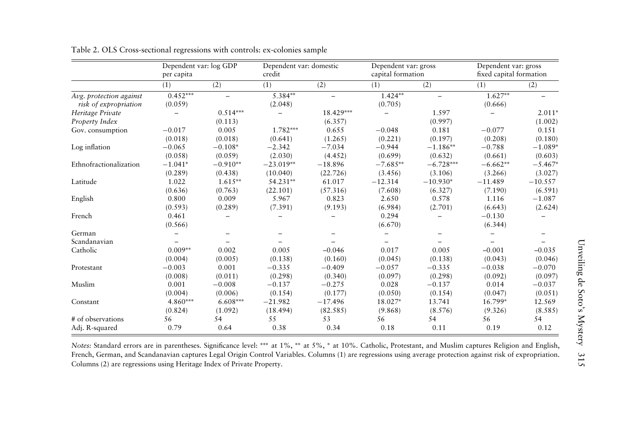|                                                  | Dependent var: log GDP<br>per capita |                          | credit             | Dependent var: domestic |                      | Dependent var: gross<br>capital formation |                      | Dependent var: gross<br>fixed capital formation |  |
|--------------------------------------------------|--------------------------------------|--------------------------|--------------------|-------------------------|----------------------|-------------------------------------------|----------------------|-------------------------------------------------|--|
|                                                  | (1)                                  | (2)                      | (1)                | (2)                     | (1)                  | (2)                                       | (1)                  | (2)                                             |  |
| Avg. protection against<br>risk of expropriation | $0.452***$<br>(0.059)                | $\overline{\phantom{a}}$ | 5.384**<br>(2.048) |                         | $1.424**$<br>(0.705) | $-$                                       | $1.627**$<br>(0.666) |                                                 |  |
| Heritage Private                                 |                                      | $0.514***$               |                    | 18.429***               |                      | 1.597                                     |                      | $2.011*$                                        |  |
| Property Index                                   |                                      | (0.113)                  |                    | (6.357)                 |                      | (0.997)                                   |                      | (1.002)                                         |  |
| Gov. consumption                                 | $-0.017$                             | 0.005                    | $1.782***$         | 0.655                   | $-0.048$             | 0.181                                     | $-0.077$             | 0.151                                           |  |
|                                                  | (0.018)                              | (0.018)                  | (0.641)            | (1.265)                 | (0.221)              | (0.197)                                   | (0.208)              | (0.180)                                         |  |
| Log inflation                                    | $-0.065$                             | $-0.108*$                | $-2.342$           | $-7.034$                | $-0.944$             | $-1.186**$                                | $-0.788$             | $-1.089*$                                       |  |
|                                                  | (0.058)                              | (0.059)                  | (2.030)            | (4.452)                 | (0.699)              | (0.632)                                   | (0.661)              | (0.603)                                         |  |
| Ethnofractionalization                           | $-1.041*$                            | $-0.910**$               | $-23.019**$        | $-18.896$               | $-7.685**$           | $-6.728***$                               | $-6.662**$           | $-5.467*$                                       |  |
|                                                  | (0.289)                              | (0.438)                  | (10.040)           | (22.726)                | (3.456)              | (3.106)                                   | (3.266)              | (3.027)                                         |  |
| Latitude                                         | 1.022                                | $1.615**$                | 54.231**           | 61.017                  | $-12.314$            | $-10.930*$                                | $-11.489$            | $-10.557$                                       |  |
|                                                  | (0.636)                              | (0.763)                  | (22.101)           | (57.316)                | (7.608)              | (6.327)                                   | (7.190)              | (6.591)                                         |  |
| English                                          | 0.800                                | 0.009                    | 5.967              | 0.823                   | 2.650                | 0.578                                     | 1.116                | $-1.087$                                        |  |
|                                                  | (0.593)                              | (0.289)                  | (7.391)            | (9.193)                 | (6.984)              | (2.701)                                   | (6.643)              | (2.624)                                         |  |
| French                                           | 0.461                                |                          |                    |                         | 0.294                |                                           | $-0.130$             |                                                 |  |
|                                                  | (0.566)                              |                          |                    |                         | (6.670)              |                                           | (6.344)              |                                                 |  |
| German                                           |                                      |                          |                    |                         |                      |                                           |                      |                                                 |  |
| Scandanavian                                     |                                      |                          |                    |                         |                      |                                           |                      |                                                 |  |
| Catholic                                         | $0.009**$                            | 0.002                    | 0.005              | $-0.046$                | 0.017                | 0.005                                     | $-0.001$             | $-0.035$                                        |  |
|                                                  | (0.004)                              | (0.005)                  | (0.138)            | (0.160)                 | (0.045)              | (0.138)                                   | (0.043)              | (0.046)                                         |  |
| Protestant                                       | $-0.003$                             | 0.001                    | $-0.335$           | $-0.409$                | $-0.057$             | $-0.335$                                  | $-0.038$             | $-0.070$                                        |  |
|                                                  | (0.008)                              | (0.011)                  | (0.298)            | (0.340)                 | (0.097)              | (0.298)                                   | (0.092)              | (0.097)                                         |  |
| Muslim                                           | 0.001                                | $-0.008$                 | $-0.137$           | $-0.275$                | 0.028                | $-0.137$                                  | 0.014                | $-0.037$                                        |  |
|                                                  | (0.004)                              | (0.006)                  | (0.154)            | (0.177)                 | (0.050)              | (0.154)                                   | (0.047)              | (0.051)                                         |  |
| Constant                                         | $4.860***$                           | $6.608***$               | $-21.982$          | $-17.496$               | 18.027*              | 13.741                                    | 16.799*              | 12.569                                          |  |
|                                                  | (0.824)                              | (1.092)                  | (18.494)           | (82.585)                | (9.868)              | (8.576)                                   | (9.326)              | (8.585)                                         |  |
| # of observations                                | 56                                   | 54                       | 55                 | 53                      | 56                   | 54                                        | 56                   | 54                                              |  |
| Adj. R-squared                                   | 0.79                                 | 0.64                     | 0.38               | 0.34                    | 0.18                 | 0.11                                      | 0.19                 | 0.12                                            |  |

Table 2. OLS Cross-sectional regressions with controls: ex-colonies sample

*Notes:* Standard errors are in parentheses. Significance level: ∗∗∗ at 1%, ∗∗ at 5%, <sup>∗</sup> at 10%. Catholic, Protestant, and Muslim captures Religion and English, French, German, and Scandanavian captures Legal Origin Control Variables. Columns (1) are regressions using average protection against risk of expropriation. Columns (2) are regressions using Heritage Index of Private Property.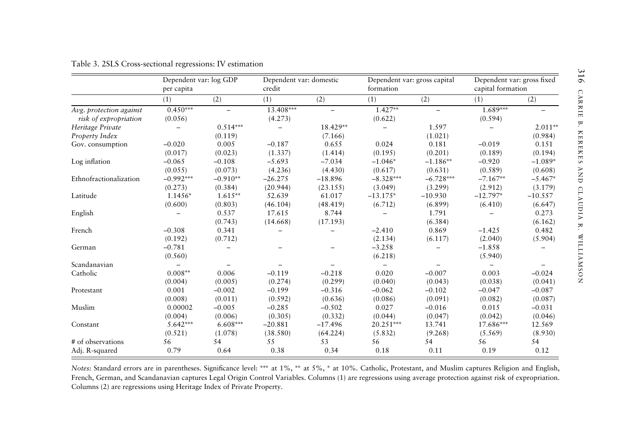|                                                  | Dependent var: log GDP<br>per capita |            | credit                 | Dependent var: domestic |                      | Dependent var: gross capital<br>formation |                       | Dependent var: gross fixed<br>capital formation |  |
|--------------------------------------------------|--------------------------------------|------------|------------------------|-------------------------|----------------------|-------------------------------------------|-----------------------|-------------------------------------------------|--|
|                                                  | (1)                                  | (2)        | (1)                    | (2)                     | (1)                  | (2)                                       | (1)                   | (2)                                             |  |
| Avg. protection against<br>risk of expropriation | $0.450***$<br>(0.056)                | ÷.         | $13.408***$<br>(4.273) |                         | $1.427**$<br>(0.622) | $\equiv$                                  | $1.689***$<br>(0.594) |                                                 |  |
| Heritage Private                                 |                                      | $0.514***$ |                        | 18.429**                |                      | 1.597                                     |                       | $2.011**$                                       |  |
| Property Index                                   |                                      | (0.119)    |                        | (7.166)                 |                      | (1.021)                                   |                       | (0.984)                                         |  |
| Gov. consumption                                 | $-0.020$                             | 0.005      | $-0.187$               | 0.655                   | 0.024                | 0.181                                     | $-0.019$              | 0.151                                           |  |
|                                                  | (0.017)                              | (0.023)    | (1.337)                | (1.414)                 | (0.195)              | (0.201)                                   | (0.189)               | (0.194)                                         |  |
| Log inflation                                    | $-0.065$                             | $-0.108$   | $-5.693$               | $-7.034$                | $-1.046*$            | $-1.186**$                                | $-0.920$              | $-1.089*$                                       |  |
|                                                  | (0.055)                              | (0.073)    | (4.236)                | (4.430)                 | (0.617)              | (0.631)                                   | (0.589)               | (0.608)                                         |  |
| Ethnofractionalization                           | $-0.992***$                          | $-0.910**$ | $-26.275$              | $-18.896$               | $-8.328***$          | $-6.728***$                               | $-7.167**$            | $-5.467*$                                       |  |
|                                                  | (0.273)                              | (0.384)    | (20.944)               | (23.155)                | (3.049)              | (3.299)                                   | (2.912)               | (3.179)                                         |  |
| Latitude                                         | 1.1456*                              | $1.615**$  | 52.639                 | 61.017                  | $-13.175*$           | $-10.930$                                 | $-12.797*$            | $-10.557$                                       |  |
|                                                  | (0.600)                              | (0.803)    | (46.104)               | (48.419)                | (6.712)              | (6.899)                                   | (6.410)               | (6.647)                                         |  |
| English                                          |                                      | 0.537      | 17.615                 | 8.744                   |                      | 1.791                                     |                       | 0.273                                           |  |
|                                                  |                                      | (0.743)    | (14.668)               | (17.193)                |                      | (6.384)                                   |                       | (6.162)                                         |  |
| French                                           | $-0.308$                             | 0.341      |                        |                         | $-2.410$             | 0.869                                     | $-1.425$              | 0.482                                           |  |
|                                                  | (0.192)                              | (0.712)    |                        |                         | (2.134)              | (6.117)                                   | (2.040)               | (5.904)                                         |  |
| German                                           | $-0.781$                             |            |                        |                         | $-3.258$             |                                           | $-1.858$              |                                                 |  |
|                                                  | (0.560)                              |            |                        |                         | (6.218)              |                                           | (5.940)               |                                                 |  |
| Scandanavian                                     |                                      |            |                        |                         |                      |                                           |                       |                                                 |  |
| Catholic                                         | $0.008**$                            | 0.006      | $-0.119$               | $-0.218$                | 0.020                | $-0.007$                                  | 0.003                 | $-0.024$                                        |  |
|                                                  | (0.004)                              | (0.005)    | (0.274)                | (0.299)                 | (0.040)              | (0.043)                                   | (0.038)               | (0.041)                                         |  |
| Protestant                                       | 0.001                                | $-0.002$   | $-0.199$               | $-0.316$                | $-0.062$             | $-0.102$                                  | $-0.047$              | $-0.087$                                        |  |
|                                                  | (0.008)                              | (0.011)    | (0.592)                | (0.636)                 | (0.086)              | (0.091)                                   | (0.082)               | (0.087)                                         |  |
| Muslim                                           | 0.00002                              | $-0.005$   | $-0.285$               | $-0.502$                | 0.027                | $-0.016$                                  | 0.015                 | $-0.031$                                        |  |
|                                                  | (0.004)                              | (0.006)    | (0.305)                | (0.332)                 | (0.044)              | (0.047)                                   | (0.042)               | (0.046)                                         |  |
| Constant                                         | $5.642***$                           | $6.608***$ | $-20.881$              | $-17.496$               | $20.251***$          | 13.741                                    | 17.686***             | 12.569                                          |  |
|                                                  | (0.521)                              | (1.078)    | (38.580)               | (64.224)                | (5.832)              | (9.268)                                   | (5.569)               | (8.930)                                         |  |
| # of observations                                | 56                                   | 54         | 55                     | 53                      | 56                   | 54                                        | 56                    | 54                                              |  |
| Adj. R-squared                                   | 0.79                                 | 0.64       | 0.38                   | 0.34                    | 0.18                 | 0.11                                      | 0.19                  | 0.12                                            |  |

Table 3. 2SLS Cross-sectional regressions: IV estimation

*Notes:* Standard errors are in parentheses. Significance level: ∗∗∗ at 1%, ∗∗ at 5%, <sup>∗</sup> at 10%. Catholic, Protestant, and Muslim captures Religion and English, French, German, and Scandanavian captures Legal Origin Control Variables. Columns (1) are regressions using average protection against risk of expropriation. Columns (2) are regressions using Heritage Index of Private Property.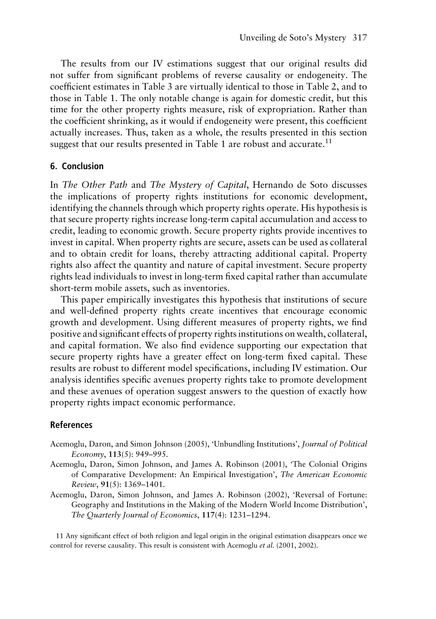The results from our IV estimations suggest that our original results did not suffer from significant problems of reverse causality or endogeneity. The coefficient estimates in Table 3 are virtually identical to those in Table 2, and to those in Table 1. The only notable change is again for domestic credit, but this time for the other property rights measure, risk of expropriation. Rather than the coefficient shrinking, as it would if endogeneity were present, this coefficient actually increases. Thus, taken as a whole, the results presented in this section suggest that our results presented in Table 1 are robust and accurate.<sup>11</sup>

#### **6. Conclusion**

In *The Other Path* and *The Mystery of Capital*, Hernando de Soto discusses the implications of property rights institutions for economic development, identifying the channels through which property rights operate. His hypothesis is that secure property rights increase long-term capital accumulation and access to credit, leading to economic growth. Secure property rights provide incentives to invest in capital. When property rights are secure, assets can be used as collateral and to obtain credit for loans, thereby attracting additional capital. Property rights also affect the quantity and nature of capital investment. Secure property rights lead individuals to invest in long-term fixed capital rather than accumulate short-term mobile assets, such as inventories.

This paper empirically investigates this hypothesis that institutions of secure and well-defined property rights create incentives that encourage economic growth and development. Using different measures of property rights, we find positive and significant effects of property rights institutions on wealth, collateral, and capital formation. We also find evidence supporting our expectation that secure property rights have a greater effect on long-term fixed capital. These results are robust to different model specifications, including IV estimation. Our analysis identifies specific avenues property rights take to promote development and these avenues of operation suggest answers to the question of exactly how property rights impact economic performance.

#### **References**

- Acemoglu, Daron, and Simon Johnson (2005), 'Unbundling Institutions', *Journal of Political Economy*, **113**(5): 949–995.
- Acemoglu, Daron, Simon Johnson, and James A. Robinson (2001), 'The Colonial Origins of Comparative Development: An Empirical Investigation', *The American Economic Review*, **91**(5): 1369–1401.
- Acemoglu, Daron, Simon Johnson, and James A. Robinson (2002), 'Reversal of Fortune: Geography and Institutions in the Making of the Modern World Income Distribution', *The Quarterly Journal of Economics*, **117**(4): 1231–1294.

11 Any significant effect of both religion and legal origin in the original estimation disappears once we control for reverse causality. This result is consistent with Acemoglu *et al.* (2001, 2002).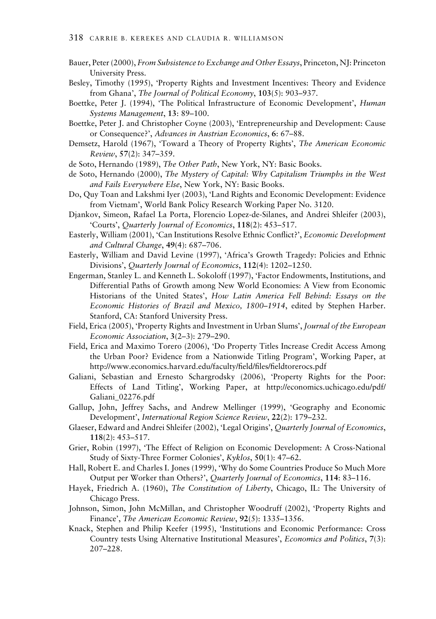- Bauer, Peter (2000), *From Subsistence to Exchange and Other Essays*, Princeton, NJ: Princeton University Press.
- Besley, Timothy (1995), 'Property Rights and Investment Incentives: Theory and Evidence from Ghana', *The Journal of Political Economy*, **103**(5): 903–937.
- Boettke, Peter J. (1994), 'The Political Infrastructure of Economic Development', *Human Systems Management*, **13**: 89–100.
- Boettke, Peter J. and Christopher Coyne (2003), 'Entrepreneurship and Development: Cause or Consequence?', *Advances in Austrian Economics*, **6**: 67–88.
- Demsetz, Harold (1967), 'Toward a Theory of Property Rights', *The American Economic Review*, **57**(2): 347–359.
- de Soto, Hernando (1989), *The Other Path*, New York, NY: Basic Books.
- de Soto, Hernando (2000), *The Mystery of Capital: Why Capitalism Triumphs in the West and Fails Everywhere Else*, New York, NY: Basic Books.
- Do, Quy Toan and Lakshmi Iyer (2003), 'Land Rights and Economic Development: Evidence from Vietnam', World Bank Policy Research Working Paper No. 3120.
- Djankov, Simeon, Rafael La Porta, Florencio Lopez-de-Silanes, and Andrei Shleifer (2003), 'Courts', *Quarterly Journal of Economics*, **118**(2): 453–517.
- Easterly, William (2001), 'Can Institutions Resolve Ethnic Conflict?', *Economic Development and Cultural Change*, **49**(4): 687–706.
- Easterly, William and David Levine (1997), 'Africa's Growth Tragedy: Policies and Ethnic Divisions', *Quarterly Journal of Economics*, **112**(4): 1202–1250.
- Engerman, Stanley L. and Kenneth L. Sokoloff (1997), 'Factor Endowments, Institutions, and Differential Paths of Growth among New World Economies: A View from Economic Historians of the United States', *How Latin America Fell Behind: Essays on the Economic Histories of Brazil and Mexico, 1800–1914*, edited by Stephen Harber. Stanford, CA: Stanford University Press.
- Field, Erica (2005), 'Property Rights and Investment in Urban Slums', *Journal of the European Economic Association*, **3**(2–3): 279–290.
- Field, Erica and Maximo Torero (2006), 'Do Property Titles Increase Credit Access Among the Urban Poor? Evidence from a Nationwide Titling Program', Working Paper, at http://www.economics.harvard.edu/faculty/field/files/fieldtorerocs.pdf
- Galiani, Sebastian and Ernesto Schargrodsky (2006), 'Property Rights for the Poor: Effects of Land Titling', Working Paper, at http://economics.uchicago.edu/pdf/ Galiani\_02276.pdf
- Gallup, John, Jeffrey Sachs, and Andrew Mellinger (1999), 'Geography and Economic Development', *International Region Science Review*, **22**(2): 179–232.
- Glaeser, Edward and Andrei Shleifer (2002), 'Legal Origins', *Quarterly Journal of Economics*, **118**(2): 453–517.
- Grier, Robin (1997), 'The Effect of Religion on Economic Development: A Cross-National Study of Sixty-Three Former Colonies', *Kyklos*, **50**(1): 47–62.
- Hall, Robert E. and Charles I. Jones (1999), 'Why do Some Countries Produce So Much More Output per Worker than Others?', *Quarterly Journal of Economics*, **114**: 83–116.
- Hayek, Friedrich A. (1960), *The Constitution of Liberty*, Chicago, IL: The University of Chicago Press.
- Johnson, Simon, John McMillan, and Christopher Woodruff (2002), 'Property Rights and Finance', *The American Economic Review*, **92**(5): 1335–1356.
- Knack, Stephen and Philip Keefer (1995), 'Institutions and Economic Performance: Cross Country tests Using Alternative Institutional Measures', *Economics and Politics*, **7**(3): 207–228.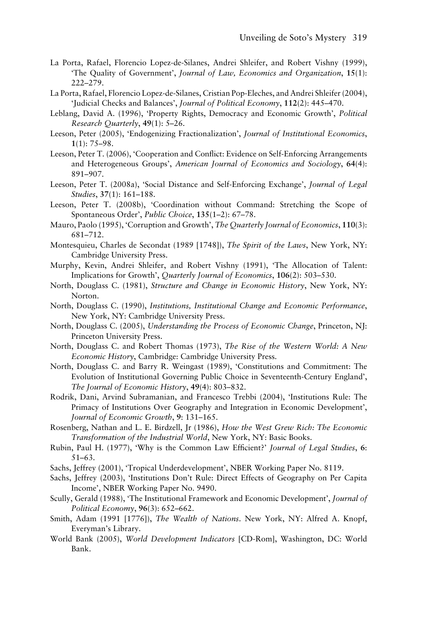- La Porta, Rafael, Florencio Lopez-de-Silanes, Andrei Shleifer, and Robert Vishny (1999), 'The Quality of Government', *Journal of Law, Economics and Organization*, **15**(1): 222–279.
- La Porta, Rafael, Florencio Lopez-de-Silanes, Cristian Pop-Eleches, and Andrei Shleifer (2004), 'Judicial Checks and Balances', *Journal of Political Economy*, **112**(2): 445–470.
- Leblang, David A. (1996), 'Property Rights, Democracy and Economic Growth', *Political Research Quarterly*, **49**(1): 5–26.
- Leeson, Peter (2005), 'Endogenizing Fractionalization', *Journal of Institutional Economics*, **1**(1): 75–98.
- Leeson, Peter T. (2006), 'Cooperation and Conflict: Evidence on Self-Enforcing Arrangements and Heterogeneous Groups', *American Journal of Economics and Sociology*, **64**(4): 891–907.
- Leeson, Peter T. (2008a), 'Social Distance and Self-Enforcing Exchange', *Journal of Legal Studies*, **37**(1): 161–188.
- Leeson, Peter T. (2008b), 'Coordination without Command: Stretching the Scope of Spontaneous Order', *Public Choice*, **135**(1–2): 67–78.
- Mauro, Paolo (1995), 'Corruption and Growth', *The Quarterly Journal of Economics*, **110**(3): 681–712.
- Montesquieu, Charles de Secondat (1989 [1748]), *The Spirit of the Laws*, New York, NY: Cambridge University Press.
- Murphy, Kevin, Andrei Shleifer, and Robert Vishny (1991), 'The Allocation of Talent: Implications for Growth', *Quarterly Journal of Economics*, **106**(2): 503–530.
- North, Douglass C. (1981), *Structure and Change in Economic History*, New York, NY: Norton.
- North, Douglass C. (1990), *Institutions, Institutional Change and Economic Performance*, New York, NY: Cambridge University Press.
- North, Douglass C. (2005), *Understanding the Process of Economic Change*, Princeton, NJ: Princeton University Press.
- North, Douglass C. and Robert Thomas (1973), *The Rise of the Western World: A New Economic History*, Cambridge: Cambridge University Press.
- North, Douglass C. and Barry R. Weingast (1989), 'Constitutions and Commitment: The Evolution of Institutional Governing Public Choice in Seventeenth-Century England', *The Journal of Economic History*, **49**(4): 803–832.
- Rodrik, Dani, Arvind Subramanian, and Francesco Trebbi (2004), 'Institutions Rule: The Primacy of Institutions Over Geography and Integration in Economic Development', *Journal of Economic Growth*, **9**: 131–165.
- Rosenberg, Nathan and L. E. Birdzell, Jr (1986), *How the West Grew Rich: The Economic Transformation of the Industrial World*, New York, NY: Basic Books.
- Rubin, Paul H. (1977), 'Why is the Common Law Efficient?' *Journal of Legal Studies*, **6**: 51–63.
- Sachs, Jeffrey (2001), 'Tropical Underdevelopment', NBER Working Paper No. 8119.
- Sachs, Jeffrey (2003), 'Institutions Don't Rule: Direct Effects of Geography on Per Capita Income', NBER Working Paper No. 9490.
- Scully, Gerald (1988), 'The Institutional Framework and Economic Development', *Journal of Political Economy*, **96**(3): 652–662.
- Smith, Adam (1991 [1776]), *The Wealth of Nations*. New York, NY: Alfred A. Knopf, Everyman's Library.
- World Bank (2005), *World Development Indicators* [CD-Rom], Washington, DC: World Bank.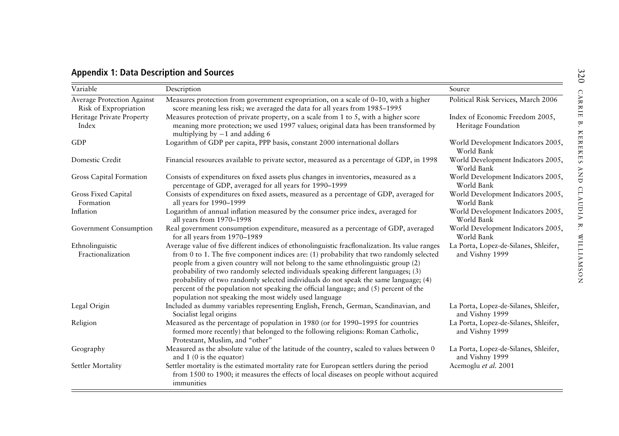|  |  |  |  |  |  |  | <b>Appendix 1: Data Description and Sources</b> |
|--|--|--|--|--|--|--|-------------------------------------------------|
|--|--|--|--|--|--|--|-------------------------------------------------|

| Variable                                                   | Description                                                                                                                                                                                                                                                                                                                                                                                                                                                                                                                                                                                                      | Source                                                   |
|------------------------------------------------------------|------------------------------------------------------------------------------------------------------------------------------------------------------------------------------------------------------------------------------------------------------------------------------------------------------------------------------------------------------------------------------------------------------------------------------------------------------------------------------------------------------------------------------------------------------------------------------------------------------------------|----------------------------------------------------------|
| <b>Average Protection Against</b><br>Risk of Expropriation | Measures protection from government expropriation, on a scale of $0-10$ , with a higher<br>score meaning less risk; we averaged the data for all years from 1985-1995                                                                                                                                                                                                                                                                                                                                                                                                                                            | Political Risk Services, March 2006                      |
| Heritage Private Property<br>Index                         | Measures protection of private property, on a scale from 1 to 5, with a higher score<br>meaning more protection; we used 1997 values; original data has been transformed by<br>multiplying by $-1$ and adding 6                                                                                                                                                                                                                                                                                                                                                                                                  | Index of Economic Freedom 2005,<br>Heritage Foundation   |
| <b>GDP</b>                                                 | Logarithm of GDP per capita, PPP basis, constant 2000 international dollars                                                                                                                                                                                                                                                                                                                                                                                                                                                                                                                                      | World Development Indicators 2005,<br>World Bank         |
| Domestic Credit                                            | Financial resources available to private sector, measured as a percentage of GDP, in 1998                                                                                                                                                                                                                                                                                                                                                                                                                                                                                                                        | World Development Indicators 2005,<br>World Bank         |
| Gross Capital Formation                                    | Consists of expenditures on fixed assets plus changes in inventories, measured as a<br>percentage of GDP, averaged for all years for 1990–1999                                                                                                                                                                                                                                                                                                                                                                                                                                                                   | World Development Indicators 2005,<br>World Bank         |
| Gross Fixed Capital<br>Formation                           | Consists of expenditures on fixed assets, measured as a percentage of GDP, averaged for<br>all years for 1990-1999                                                                                                                                                                                                                                                                                                                                                                                                                                                                                               | World Development Indicators 2005,<br>World Bank         |
| Inflation                                                  | Logarithm of annual inflation measured by the consumer price index, averaged for<br>all years from 1970-1998                                                                                                                                                                                                                                                                                                                                                                                                                                                                                                     | World Development Indicators 2005,<br>World Bank         |
| Government Consumption                                     | Real government consumption expenditure, measured as a percentage of GDP, averaged<br>for all years from 1970-1989                                                                                                                                                                                                                                                                                                                                                                                                                                                                                               | World Development Indicators 2005,<br>World Bank         |
| Ethnolinguistic<br>Fractionalization                       | Average value of five different indices of ethonolinguistic fracflonalization. Its value ranges<br>from 0 to 1. The five component indices are: (1) probability that two randomly selected<br>people from a given country will not belong to the same ethnolinguistic group (2)<br>probability of two randomly selected individuals speaking different languages; (3)<br>probability of two randomly selected individuals do not speak the same language; (4)<br>percent of the population not speaking the official language; and $(5)$ percent of the<br>population not speaking the most widely used language | La Porta, Lopez-de-Silanes, Shleifer,<br>and Vishny 1999 |
| Legal Origin                                               | Included as dummy variables representing English, French, German, Scandinavian, and<br>Socialist legal origins                                                                                                                                                                                                                                                                                                                                                                                                                                                                                                   | La Porta, Lopez-de-Silanes, Shleifer,<br>and Vishny 1999 |
| Religion                                                   | Measured as the percentage of population in 1980 (or for 1990-1995 for countries<br>formed more recently) that belonged to the following religions: Roman Catholic,<br>Protestant, Muslim, and "other"                                                                                                                                                                                                                                                                                                                                                                                                           | La Porta, Lopez-de-Silanes, Shleifer,<br>and Vishny 1999 |
| Geography                                                  | Measured as the absolute value of the latitude of the country, scaled to values between 0<br>and $1(0)$ is the equator)                                                                                                                                                                                                                                                                                                                                                                                                                                                                                          | La Porta, Lopez-de-Silanes, Shleifer,<br>and Vishny 1999 |
| Settler Mortality                                          | Settler mortality is the estimated mortality rate for European settlers during the period<br>from 1500 to 1900; it measures the effects of local diseases on people without acquired<br>immunities                                                                                                                                                                                                                                                                                                                                                                                                               | Acemoglu et al. 2001                                     |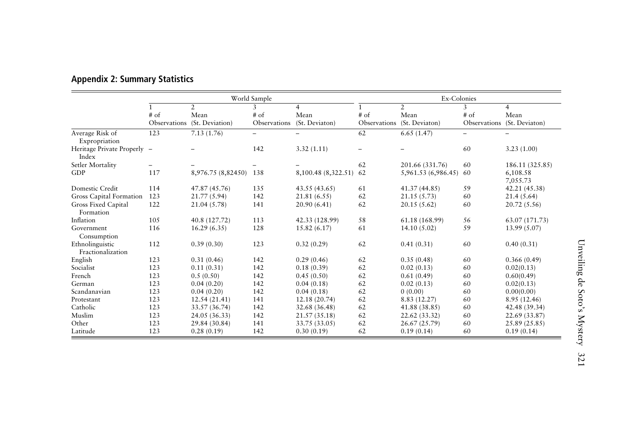|                                      | World Sample |                    |              |                          | Ex-Colonies  |                     |                     |                      |
|--------------------------------------|--------------|--------------------|--------------|--------------------------|--------------|---------------------|---------------------|----------------------|
|                                      |              | 2                  | 3            | $\overline{4}$           |              | $\overline{2}$      | 3                   | $\overline{4}$       |
|                                      | $#$ of       | Mean               | $#$ of       | Mean                     | $#$ of       | Mean                | $#$ of              | Mean                 |
|                                      | Observations | (St. Deviation)    | Observations | (St. Deviaton)           | Observations | (St. Deviaton)      | <b>Observations</b> | (St. Deviaton)       |
| Average Risk of<br>Expropriation     | 123          | 7.13(1.76)         | Ξ.           | $\overline{\phantom{0}}$ | 62           | 6.65(1.47)          | Ξ.                  | $\qquad \qquad -$    |
| Heritage Private Properly -<br>Index |              |                    | 142          | 3.32(1.11)               |              |                     | 60                  | 3.23(1.00)           |
| Setler Mortality                     |              |                    |              |                          | 62           | 201.66 (331.76)     | 60                  | 186.11 (325.85)      |
| <b>GDP</b>                           | 117          | 8,976.75 (8,82450) | 138          | 8,100.48 (8,322.51)      | 62           | 5,961.53 (6,986.45) | 60                  | 6,108.58<br>7,055.73 |
| Domestic Credit                      | 114          | 47.87 (45.76)      | 135          | 43.55 (43.65)            | 61           | 41.37 (44.85)       | 59                  | 42.21 (45.38)        |
| Gross Capital Formation              | 123          | 21.77 (5.94)       | 142          | 21.81 (6.55)             | 62           | 21.15(5.73)         | 60                  | 21.4(5.64)           |
| Gross Fixed Capital<br>Formation     | 122          | 21.04 (5.78)       | 141          | 20.90 (6.41)             | 62           | 20.15(5.62)         | 60                  | 20.72 (5.56)         |
| Inflation                            | 105          | 40.8 (127.72)      | 113          | 42.33 (128.99)           | 58           | 61.18 (168.99)      | 56                  | 63.07 (171.73)       |
| Government<br>Consumption            | 116          | 16.29(6.35)        | 128          | 15.82(6.17)              | 61           | 14.10(5.02)         | 59                  | 13.99 (5.07)         |
| Ethnolinguistic<br>Fractionalization | 112          | 0.39(0.30)         | 123          | 0.32(0.29)               | 62           | 0.41(0.31)          | 60                  | 0.40(0.31)           |
| English                              | 123          | 0.31(0.46)         | 142          | 0.29(0.46)               | 62           | 0.35(0.48)          | 60                  | 0.366(0.49)          |
| Socialist                            | 123          | 0.11(0.31)         | 142          | 0.18(0.39)               | 62           | 0.02(0.13)          | 60                  | 0.02(0.13)           |
| French                               | 123          | 0.5(0.50)          | 142          | 0.45(0.50)               | 62           | 0.61(0.49)          | 60                  | 0.60(0.49)           |
| German                               | 123          | 0.04(0.20)         | 142          | 0.04(0.18)               | 62           | 0.02(0.13)          | 60                  | 0.02(0.13)           |
| Scandanavian                         | 123          | 0.04(0.20)         | 142          | 0.04(0.18)               | 62           | 0(0.00)             | 60                  | 0.00(0.00)           |
| Protestant                           | 123          | 12.54 (21.41)      | 141          | 12.18 (20.74)            | 62           | 8.83 (12.27)        | 60                  | 8.95 (12.46)         |
| Catholic                             | 123          | 33.57 (36.74)      | 142          | 32.68 (36.48)            | 62           | 41.88 (38.85)       | 60                  | 42.48 (39.34)        |
| Muslim                               | 123          | 24.05 (36.33)      | 142          | 21.57 (35.18)            | 62           | 22.62 (33.32)       | 60                  | 22.69 (33.87)        |
| Other                                | 123          | 29.84 (30.84)      | 141          | 33.75 (33.05)            | 62           | 26.67 (25.79)       | 60                  | 25.89 (25.85)        |
| Latitude                             | 123          | 0.28(0.19)         | 142          | 0.30(0.19)               | 62           | 0.19(0.14)          | 60                  | 0.19(0.14)           |

## **Appendix 2: Summary Statistics**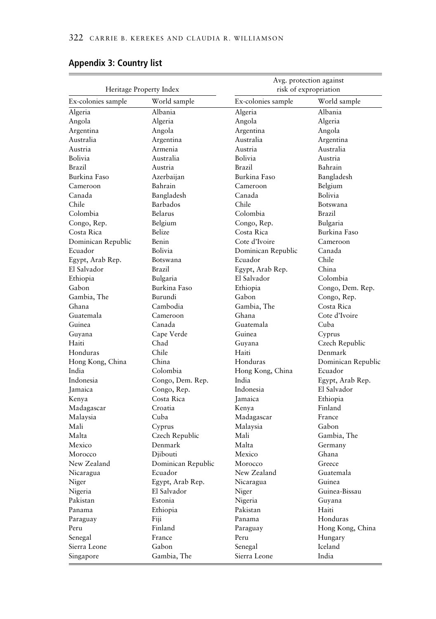| Heritage Property Index |                    | Avg. protection against<br>risk of expropriation |                    |  |  |
|-------------------------|--------------------|--------------------------------------------------|--------------------|--|--|
| Ex-colonies sample      | World sample       | Ex-colonies sample                               | World sample       |  |  |
| Algeria                 | Albania            | Algeria                                          | Albania            |  |  |
| Angola                  | Algeria            | Angola                                           | Algeria            |  |  |
| Argentina               | Angola             | Argentina                                        | Angola             |  |  |
| Australia               | Argentina          | Australia                                        | Argentina          |  |  |
| Austria                 | Armenia            | Austria                                          | Australia          |  |  |
| Bolivia                 | Australia          | Bolivia                                          | Austria            |  |  |
| Brazil                  | Austria            | Brazil                                           | Bahrain            |  |  |
| Burkina Faso            | Azerbaijan         | Burkina Faso                                     | Bangladesh         |  |  |
| Cameroon                | Bahrain            | Cameroon                                         | Belgium            |  |  |
| Canada                  | Bangladesh         | Canada                                           | Bolivia            |  |  |
| Chile                   | Barbados           | Chile                                            | Botswana           |  |  |
| Colombia                | Belarus            | Colombia                                         | Brazil             |  |  |
| Congo, Rep.             | Belgium            | Congo, Rep.                                      | Bulgaria           |  |  |
| Costa Rica              | Belize             | Costa Rica                                       | Burkina Faso       |  |  |
| Dominican Republic      | Benin              | Cote d'Ivoire                                    | Cameroon           |  |  |
| Ecuador                 | Bolivia            | Dominican Republic                               | Canada             |  |  |
| Egypt, Arab Rep.        | Botswana           | Ecuador                                          | Chile              |  |  |
| El Salvador             | Brazil             | Egypt, Arab Rep.                                 | China              |  |  |
| Ethiopia                | <b>Bulgaria</b>    | El Salvador                                      | Colombia           |  |  |
| Gabon                   | Burkina Faso       | Ethiopia                                         | Congo, Dem. Rep.   |  |  |
| Gambia, The             | Burundi            | Gabon                                            | Congo, Rep.        |  |  |
| Ghana                   | Cambodia           | Gambia, The                                      | Costa Rica         |  |  |
| Guatemala               | Cameroon           | Ghana                                            | Cote d'Ivoire      |  |  |
| Guinea                  | Canada             | Guatemala                                        | Cuba               |  |  |
| Guyana                  | Cape Verde         | Guinea                                           | Cyprus             |  |  |
| Haiti                   | Chad               | Guyana                                           | Czech Republic     |  |  |
| Honduras                | Chile              | Haiti                                            | Denmark            |  |  |
| Hong Kong, China        | China              | Honduras                                         | Dominican Republic |  |  |
| India                   | Colombia           | Hong Kong, China                                 | Ecuador            |  |  |
| Indonesia               | Congo, Dem. Rep.   | India                                            | Egypt, Arab Rep.   |  |  |
| Jamaica                 | Congo, Rep.        | Indonesia                                        | El Salvador        |  |  |
| Kenya                   | Costa Rica         | Jamaica                                          | Ethiopia           |  |  |
| Madagascar              | Croatia            | Kenya                                            | Finland            |  |  |
| Malaysia                | Cuba               | Madagascar                                       | France             |  |  |
| Mali                    | Cyprus             | Malaysia                                         | Gabon              |  |  |
| Malta                   | Czech Republic     | Mali                                             | Gambia, The        |  |  |
| Mexico                  | Denmark            | Malta                                            | Germany            |  |  |
| Morocco                 | Djibouti           | Mexico                                           | Ghana              |  |  |
| New Zealand             | Dominican Republic | Morocco                                          | Greece             |  |  |
| Nicaragua               | Ecuador            | New Zealand                                      | Guatemala          |  |  |
| Niger                   | Egypt, Arab Rep.   | Nicaragua                                        | Guinea             |  |  |
| Nigeria                 | El Salvador        | Niger                                            | Guinea-Bissau      |  |  |
| Pakistan                | Estonia            | Nigeria                                          | Guyana             |  |  |
| Panama                  | Ethiopia           | Pakistan                                         | Haiti              |  |  |
| Paraguay                | Fiji               | Panama                                           | Honduras           |  |  |
| Peru                    | Finland            | Paraguay                                         | Hong Kong, China   |  |  |
| Senegal                 | France             | Peru                                             | Hungary            |  |  |
| Sierra Leone            | Gabon              | Senegal                                          | Iceland            |  |  |
| Singapore               | Gambia, The        | Sierra Leone                                     | India              |  |  |

# **Appendix 3: Country list**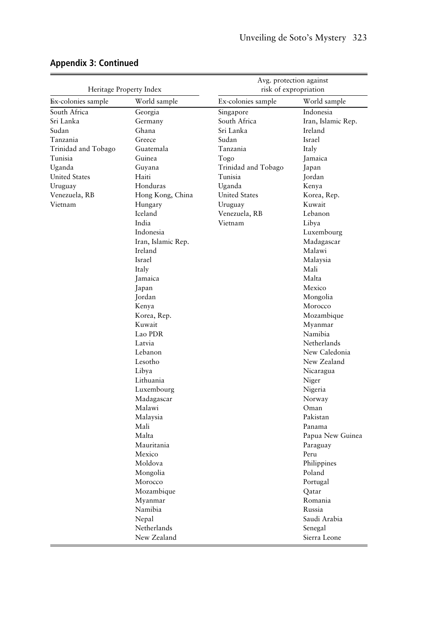| Heritage Property Index |                    | Avg. protection against<br>risk of expropriation |                    |  |  |
|-------------------------|--------------------|--------------------------------------------------|--------------------|--|--|
| Ex-colonies sample      | World sample       | Ex-colonies sample                               | World sample       |  |  |
| South Africa            | Georgia            | Singapore                                        | Indonesia          |  |  |
| Sri Lanka               | Germany            | South Africa                                     | Iran, Islamic Rep. |  |  |
| Sudan                   | Ghana              | Sri Lanka                                        | Ireland            |  |  |
| Tanzania                | Greece             | Sudan                                            | Israel             |  |  |
| Trinidad and Tobago     | Guatemala          | Tanzania                                         | Italy              |  |  |
| Tunisia                 | Guinea             | Togo                                             | Jamaica            |  |  |
| Uganda                  | Guyana             | Trinidad and Tobago                              | Japan              |  |  |
| <b>United States</b>    | Haiti              | Tunisia                                          | Jordan             |  |  |
| Uruguay                 | Honduras           | Uganda                                           | Kenya              |  |  |
| Venezuela, RB           | Hong Kong, China   | <b>United States</b>                             | Korea, Rep.        |  |  |
| Vietnam                 | Hungary            | Uruguay                                          | Kuwait             |  |  |
|                         | Iceland            | Venezuela, RB                                    | Lebanon            |  |  |
|                         | India              | Vietnam                                          | Libya              |  |  |
|                         | Indonesia          |                                                  | Luxembourg         |  |  |
|                         | Iran, Islamic Rep. |                                                  | Madagascar         |  |  |
|                         | Ireland            |                                                  | Malawi             |  |  |
|                         | Israel             |                                                  | Malaysia           |  |  |
|                         | Italy              |                                                  | Mali               |  |  |
|                         | Jamaica            |                                                  | Malta              |  |  |
|                         | Japan              |                                                  | Mexico             |  |  |
|                         | Jordan             |                                                  | Mongolia           |  |  |
|                         | Kenya              |                                                  | Morocco            |  |  |
|                         | Korea, Rep.        |                                                  | Mozambique         |  |  |
|                         | Kuwait             |                                                  | Myanmar            |  |  |
|                         | Lao PDR            |                                                  | Namibia            |  |  |
|                         | Latvia             |                                                  | Netherlands        |  |  |
|                         | Lebanon            |                                                  | New Caledonia      |  |  |
|                         | Lesotho            |                                                  | New Zealand        |  |  |
|                         | Libya              |                                                  | Nicaragua          |  |  |
|                         | Lithuania          |                                                  | Niger              |  |  |
|                         | Luxembourg         |                                                  | Nigeria            |  |  |
|                         | Madagascar         |                                                  | Norway             |  |  |
|                         | Malawi             |                                                  | Oman               |  |  |
|                         | Malaysia           |                                                  | Pakistan           |  |  |
|                         | Mali               |                                                  | Panama             |  |  |
|                         | Malta              |                                                  | Papua New Guinea   |  |  |
|                         | Mauritania         |                                                  | Paraguay           |  |  |
|                         | Mexico             |                                                  | Peru               |  |  |
|                         | Moldova            |                                                  | Philippines        |  |  |
|                         | Mongolia           |                                                  | Poland             |  |  |
|                         | Morocco            |                                                  | Portugal           |  |  |
|                         | Mozambique         |                                                  | Qatar              |  |  |
|                         | Myanmar            |                                                  | Romania            |  |  |
|                         | Namibia            |                                                  | Russia             |  |  |
|                         | Nepal              |                                                  | Saudi Arabia       |  |  |
|                         | Netherlands        |                                                  | Senegal            |  |  |
|                         | New Zealand        |                                                  | Sierra Leone       |  |  |

# **Appendix 3: Continued**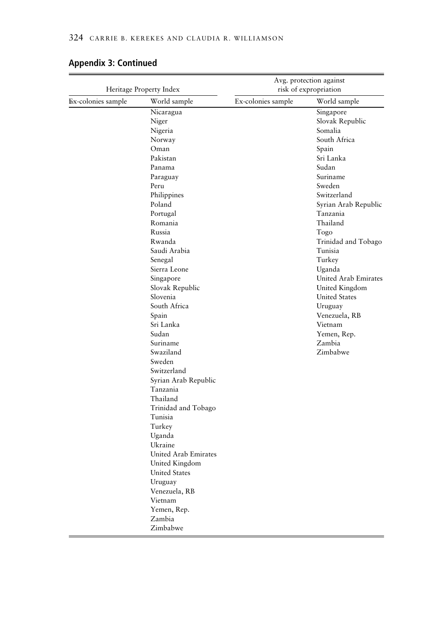| Heritage Property Index |                      | Avg. protection against<br>risk of expropriation |                      |  |  |  |
|-------------------------|----------------------|--------------------------------------------------|----------------------|--|--|--|
| Ex-colonies sample      | World sample         | Ex-colonies sample                               | World sample         |  |  |  |
|                         | Nicaragua            |                                                  | Singapore            |  |  |  |
|                         | Niger                |                                                  | Slovak Republic      |  |  |  |
|                         | Nigeria              |                                                  | Somalia              |  |  |  |
|                         | Norway               |                                                  | South Africa         |  |  |  |
|                         | Oman                 |                                                  | Spain                |  |  |  |
|                         | Pakistan             |                                                  | Sri Lanka            |  |  |  |
|                         | Panama               |                                                  | Sudan                |  |  |  |
|                         | Paraguay             |                                                  | Suriname             |  |  |  |
|                         | Peru                 |                                                  | Sweden               |  |  |  |
|                         | Philippines          |                                                  | Switzerland          |  |  |  |
|                         | Poland               |                                                  | Syrian Arab Republic |  |  |  |
|                         | Portugal             |                                                  | Tanzania             |  |  |  |
|                         | Romania              |                                                  | Thailand             |  |  |  |
|                         | Russia               |                                                  | Togo                 |  |  |  |
|                         | Rwanda               |                                                  | Trinidad and Tobago  |  |  |  |
|                         | Saudi Arabia         |                                                  | Tunisia              |  |  |  |
|                         | Senegal              |                                                  | Turkey               |  |  |  |
|                         | Sierra Leone         |                                                  | Uganda               |  |  |  |
|                         | Singapore            |                                                  | United Arab Emirates |  |  |  |
|                         | Slovak Republic      |                                                  | United Kingdom       |  |  |  |
|                         | Slovenia             |                                                  | <b>United States</b> |  |  |  |
|                         | South Africa         |                                                  | Uruguay              |  |  |  |
|                         | Spain                |                                                  | Venezuela, RB        |  |  |  |
|                         | Sri Lanka            |                                                  | Vietnam              |  |  |  |
|                         | Sudan                |                                                  | Yemen, Rep.          |  |  |  |
|                         | Suriname             |                                                  | Zambia               |  |  |  |
|                         | Swaziland            |                                                  | Zimbabwe             |  |  |  |
|                         | Sweden               |                                                  |                      |  |  |  |
|                         | Switzerland          |                                                  |                      |  |  |  |
|                         | Syrian Arab Republic |                                                  |                      |  |  |  |
|                         | Tanzania             |                                                  |                      |  |  |  |
|                         | Thailand             |                                                  |                      |  |  |  |
|                         | Trinidad and Tobago  |                                                  |                      |  |  |  |
|                         | Tunisia              |                                                  |                      |  |  |  |
|                         | Turkey               |                                                  |                      |  |  |  |
|                         | Uganda               |                                                  |                      |  |  |  |
|                         | Ukraine              |                                                  |                      |  |  |  |
|                         | United Arab Emirates |                                                  |                      |  |  |  |
|                         | United Kingdom       |                                                  |                      |  |  |  |
|                         | <b>United States</b> |                                                  |                      |  |  |  |
|                         | Uruguay              |                                                  |                      |  |  |  |
|                         | Venezuela, RB        |                                                  |                      |  |  |  |
|                         | Vietnam              |                                                  |                      |  |  |  |
|                         | Yemen, Rep.          |                                                  |                      |  |  |  |
|                         | Zambia               |                                                  |                      |  |  |  |
|                         | Zimbabwe             |                                                  |                      |  |  |  |

## **Appendix 3: Continued**